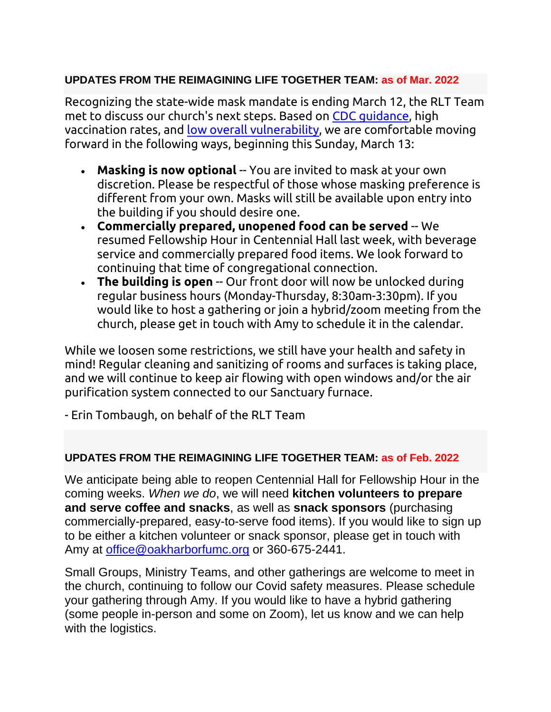# **UPDATES FROM THE REIMAGINING LIFE TOGETHER TEAM: as of Mar. 2022**

Recognizing the state-wide mask mandate is ending March 12, the RLT Team met to discuss our church's next steps. Based on [CDC guidance,](https://www.cdc.gov/coronavirus/2019-ncov/prevent-getting-sick/about-face-coverings.html) high vaccination rates, and [low overall vulnerability,](https://www.covidactnow.org/us/washington-wa/county/island_county/?s=30311889) we are comfortable moving forward in the following ways, beginning this Sunday, March 13:

- **Masking is now optional** -- You are invited to mask at your own discretion. Please be respectful of those whose masking preference is different from your own. Masks will still be available upon entry into the building if you should desire one.
- **Commercially prepared, unopened food can be served** -- We resumed Fellowship Hour in Centennial Hall last week, with beverage service and commercially prepared food items. We look forward to continuing that time of congregational connection.
- **The building is open** -- Our front door will now be unlocked during regular business hours (Monday-Thursday, 8:30am-3:30pm). If you would like to host a gathering or join a hybrid/zoom meeting from the church, please get in touch with Amy to schedule it in the calendar.

While we loosen some restrictions, we still have your health and safety in mind! Regular cleaning and sanitizing of rooms and surfaces is taking place, and we will continue to keep air flowing with open windows and/or the air purification system connected to our Sanctuary furnace.

- Erin Tombaugh, on behalf of the RLT Team

# **UPDATES FROM THE REIMAGINING LIFE TOGETHER TEAM: as of Feb. 2022**

We anticipate being able to reopen Centennial Hall for Fellowship Hour in the coming weeks. *When we do*, we will need **kitchen volunteers to prepare and serve coffee and snacks**, as well as **snack sponsors** (purchasing commercially-prepared, easy-to-serve food items). If you would like to sign up to be either a kitchen volunteer or snack sponsor, please get in touch with Amy at [office@oakharborfumc.org](mailto:office@oakharborfumc.org) or 360-675-2441.

Small Groups, Ministry Teams, and other gatherings are welcome to meet in the church, continuing to follow our Covid safety measures. Please schedule your gathering through Amy. If you would like to have a hybrid gathering (some people in-person and some on Zoom), let us know and we can help with the logistics.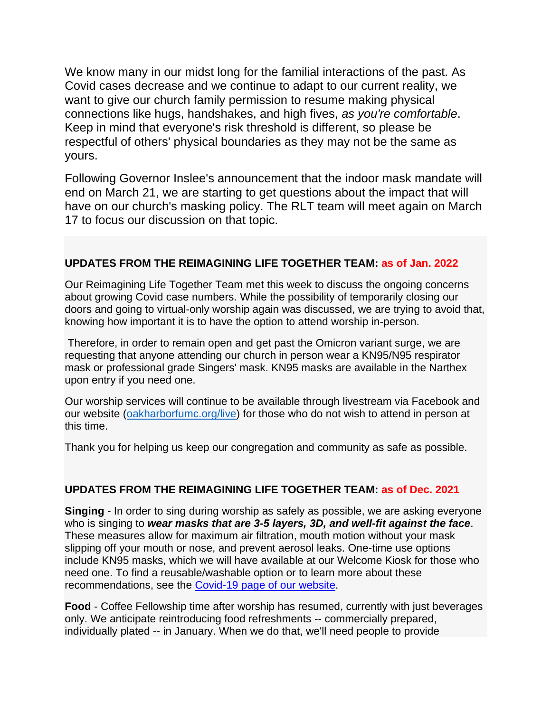We know many in our midst long for the familial interactions of the past. As Covid cases decrease and we continue to adapt to our current reality, we want to give our church family permission to resume making physical connections like hugs, handshakes, and high fives, *as you're comfortable*. Keep in mind that everyone's risk threshold is different, so please be respectful of others' physical boundaries as they may not be the same as yours.

Following Governor Inslee's announcement that the indoor mask mandate will end on March 21, we are starting to get questions about the impact that will have on our church's masking policy. The RLT team will meet again on March 17 to focus our discussion on that topic.

### **UPDATES FROM THE REIMAGINING LIFE TOGETHER TEAM: as of Jan. 2022**

Our Reimagining Life Together Team met this week to discuss the ongoing concerns about growing Covid case numbers. While the possibility of temporarily closing our doors and going to virtual-only worship again was discussed, we are trying to avoid that, knowing how important it is to have the option to attend worship in-person.

Therefore, in order to remain open and get past the Omicron variant surge, we are requesting that anyone attending our church in person wear a KN95/N95 respirator mask or professional grade Singers' mask. KN95 masks are available in the Narthex upon entry if you need one.

Our worship services will continue to be available through livestream via Facebook and our website [\(oakharborfumc.org/live\)](http://oakharborfumc.org/live) for those who do not wish to attend in person at this time.

Thank you for helping us keep our congregation and community as safe as possible.

### **UPDATES FROM THE REIMAGINING LIFE TOGETHER TEAM: as of Dec. 2021**

**Singing** - In order to sing during worship as safely as possible, we are asking everyone who is singing to *wear masks that are 3-5 layers, 3D, and well-fit against the face*. These measures allow for maximum air filtration, mouth motion without your mask slipping off your mouth or nose, and prevent aerosol leaks. One-time use options include KN95 masks, which we will have available at our Welcome Kiosk for those who need one. To find a reusable/washable option or to learn more about these recommendations, see the [Covid-19 page of our website.](https://oakharborfumc.org/covid-19)

**Food** - Coffee Fellowship time after worship has resumed, currently with just beverages only. We anticipate reintroducing food refreshments -- commercially prepared, individually plated -- in January. When we do that, we'll need people to provide